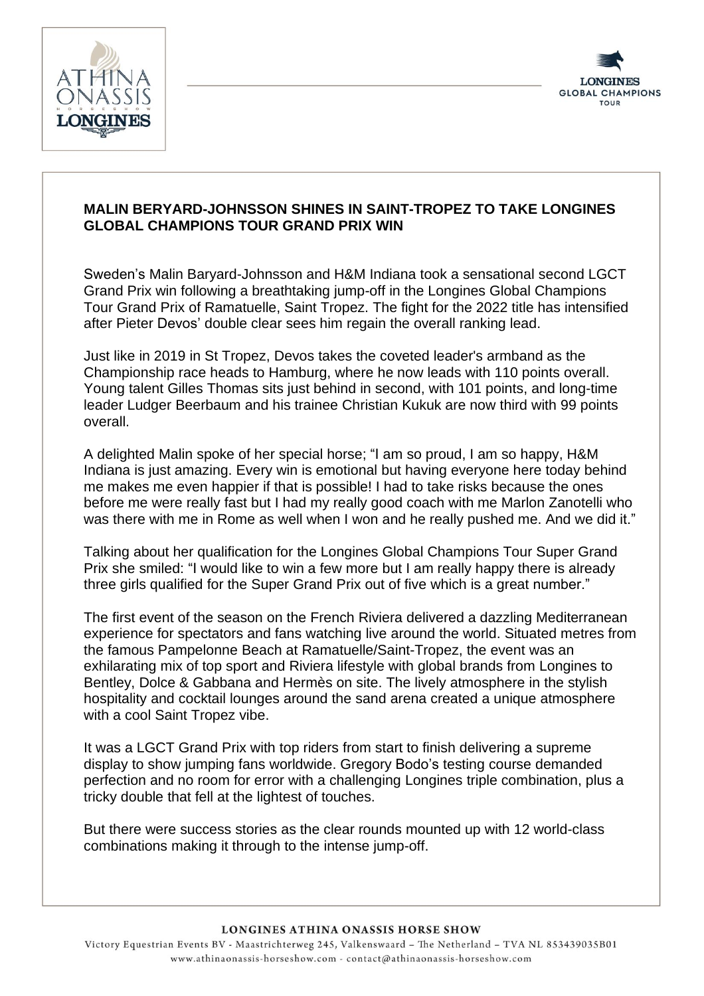



## **MALIN BERYARD-JOHNSSON SHINES IN SAINT-TROPEZ TO TAKE LONGINES GLOBAL CHAMPIONS TOUR GRAND PRIX WIN**

Sweden's Malin Baryard-Johnsson and H&M Indiana took a sensational second LGCT Grand Prix win following a breathtaking jump-off in the Longines Global Champions Tour Grand Prix of Ramatuelle, Saint Tropez. The fight for the 2022 title has intensified after Pieter Devos' double clear sees him regain the overall ranking lead.

Just like in 2019 in St Tropez, Devos takes the coveted leader's armband as the Championship race heads to Hamburg, where he now leads with 110 points overall. Young talent Gilles Thomas sits just behind in second, with 101 points, and long-time leader Ludger Beerbaum and his trainee Christian Kukuk are now third with 99 points overall.

A delighted Malin spoke of her special horse; "I am so proud, I am so happy, H&M Indiana is just amazing. Every win is emotional but having everyone here today behind me makes me even happier if that is possible! I had to take risks because the ones before me were really fast but I had my really good coach with me Marlon Zanotelli who was there with me in Rome as well when I won and he really pushed me. And we did it."

Talking about her qualification for the Longines Global Champions Tour Super Grand Prix she smiled: "I would like to win a few more but I am really happy there is already three girls qualified for the Super Grand Prix out of five which is a great number."

The first event of the season on the French Riviera delivered a dazzling Mediterranean experience for spectators and fans watching live around the world. Situated metres from the famous Pampelonne Beach at Ramatuelle/Saint-Tropez, the event was an exhilarating mix of top sport and Riviera lifestyle with global brands from Longines to Bentley, Dolce & Gabbana and Hermès on site. The lively atmosphere in the stylish hospitality and cocktail lounges around the sand arena created a unique atmosphere with a cool Saint Tropez vibe.

It was a LGCT Grand Prix with top riders from start to finish delivering a supreme display to show jumping fans worldwide. Gregory Bodo's testing course demanded perfection and no room for error with a challenging Longines triple combination, plus a tricky double that fell at the lightest of touches.

But there were success stories as the clear rounds mounted up with 12 world-class combinations making it through to the intense jump-off.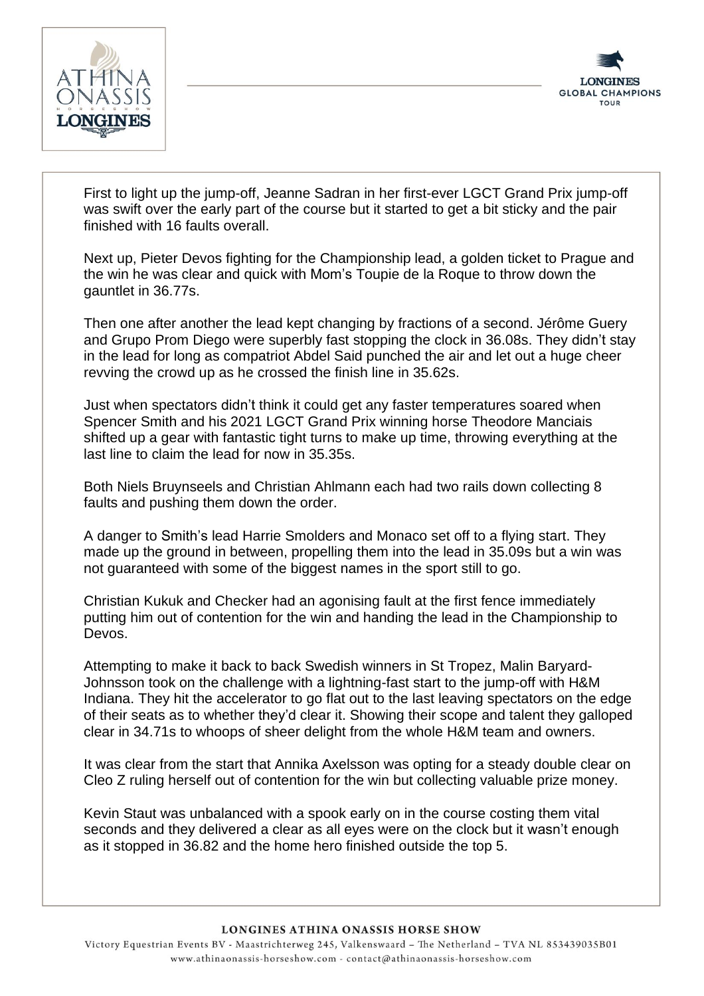



First to light up the jump-off, Jeanne Sadran in her first-ever LGCT Grand Prix jump-off was swift over the early part of the course but it started to get a bit sticky and the pair finished with 16 faults overall.

Next up, Pieter Devos fighting for the Championship lead, a golden ticket to Prague and the win he was clear and quick with Mom's Toupie de la Roque to throw down the gauntlet in 36.77s.

Then one after another the lead kept changing by fractions of a second. Jérôme Guery and Grupo Prom Diego were superbly fast stopping the clock in 36.08s. They didn't stay in the lead for long as compatriot Abdel Said punched the air and let out a huge cheer revving the crowd up as he crossed the finish line in 35.62s.

Just when spectators didn't think it could get any faster temperatures soared when Spencer Smith and his 2021 LGCT Grand Prix winning horse Theodore Manciais shifted up a gear with fantastic tight turns to make up time, throwing everything at the last line to claim the lead for now in 35.35s.

Both Niels Bruynseels and Christian Ahlmann each had two rails down collecting 8 faults and pushing them down the order.

A danger to Smith's lead Harrie Smolders and Monaco set off to a flying start. They made up the ground in between, propelling them into the lead in 35.09s but a win was not guaranteed with some of the biggest names in the sport still to go.

Christian Kukuk and Checker had an agonising fault at the first fence immediately putting him out of contention for the win and handing the lead in the Championship to Devos.

Attempting to make it back to back Swedish winners in St Tropez, Malin Baryard-Johnsson took on the challenge with a lightning-fast start to the jump-off with H&M Indiana. They hit the accelerator to go flat out to the last leaving spectators on the edge of their seats as to whether they'd clear it. Showing their scope and talent they galloped clear in 34.71s to whoops of sheer delight from the whole H&M team and owners.

It was clear from the start that Annika Axelsson was opting for a steady double clear on Cleo Z ruling herself out of contention for the win but collecting valuable prize money.

Kevin Staut was unbalanced with a spook early on in the course costing them vital seconds and they delivered a clear as all eyes were on the clock but it wasn't enough as it stopped in 36.82 and the home hero finished outside the top 5.